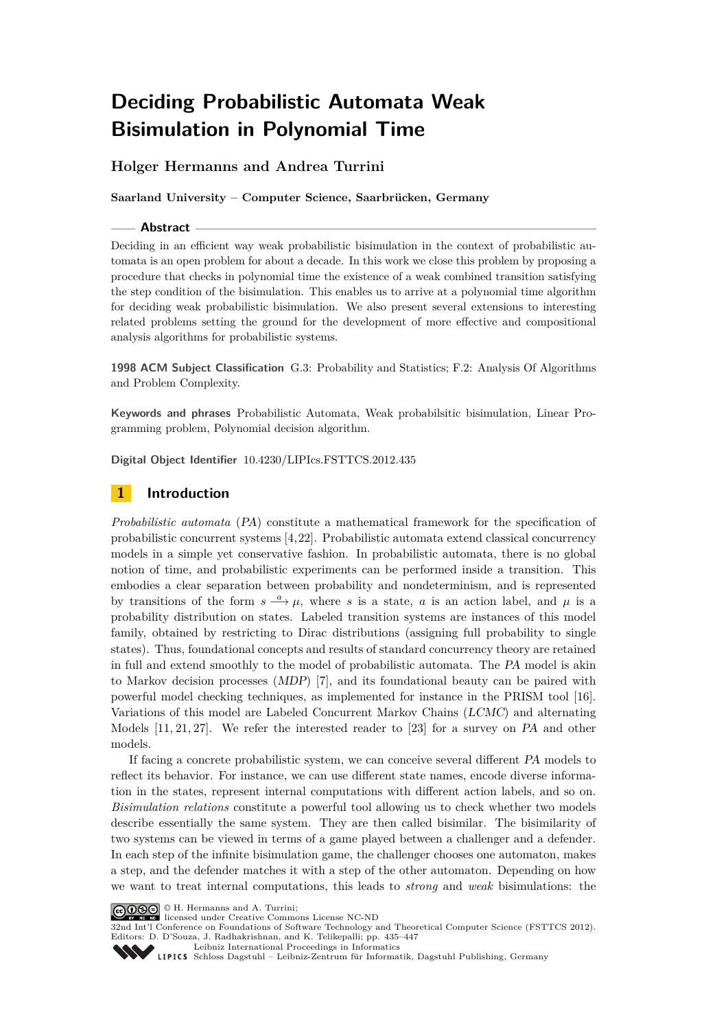# **Holger Hermanns and Andrea Turrini**

**Saarland University – Computer Science, Saarbrücken, Germany**

### **Abstract**

Deciding in an efficient way weak probabilistic bisimulation in the context of probabilistic automata is an open problem for about a decade. In this work we close this problem by proposing a procedure that checks in polynomial time the existence of a weak combined transition satisfying the step condition of the bisimulation. This enables us to arrive at a polynomial time algorithm for deciding weak probabilistic bisimulation. We also present several extensions to interesting related problems setting the ground for the development of more effective and compositional analysis algorithms for probabilistic systems.

**1998 ACM Subject Classification** G.3: Probability and Statistics; F.2: Analysis Of Algorithms and Problem Complexity.

**Keywords and phrases** Probabilistic Automata, Weak probabilsitic bisimulation, Linear Programming problem, Polynomial decision algorithm.

**Digital Object Identifier** [10.4230/LIPIcs.FSTTCS.2012.435](http://dx.doi.org/10.4230/LIPIcs.FSTTCS.2012.435)

# **1 Introduction**

*Probabilistic automata* (PA) constitute a mathematical framework for the specification of probabilistic concurrent systems [\[4,](#page-12-0)[22\]](#page-12-1). Probabilistic automata extend classical concurrency models in a simple yet conservative fashion. In probabilistic automata, there is no global notion of time, and probabilistic experiments can be performed inside a transition. This embodies a clear separation between probability and nondeterminism, and is represented by transitions of the form  $s \stackrel{a}{\longrightarrow} \mu$ , where *s* is a state, *a* is an action label, and  $\mu$  is a probability distribution on states. Labeled transition systems are instances of this model family, obtained by restricting to Dirac distributions (assigning full probability to single states). Thus, foundational concepts and results of standard concurrency theory are retained in full and extend smoothly to the model of probabilistic automata. The PA model is akin to Markov decision processes (MDP) [\[7\]](#page-12-2), and its foundational beauty can be paired with powerful model checking techniques, as implemented for instance in the PRISM tool [\[16\]](#page-12-3). Variations of this model are Labeled Concurrent Markov Chains (LCMC) and alternating Models [\[11,](#page-12-4) [21,](#page-12-5) [27\]](#page-12-6). We refer the interested reader to [\[23\]](#page-12-7) for a survey on PA and other models.

If facing a concrete probabilistic system, we can conceive several different PA models to reflect its behavior. For instance, we can use different state names, encode diverse information in the states, represent internal computations with different action labels, and so on. *Bisimulation relations* constitute a powerful tool allowing us to check whether two models describe essentially the same system. They are then called bisimilar. The bisimilarity of two systems can be viewed in terms of a game played between a challenger and a defender. In each step of the infinite bisimulation game, the challenger chooses one automaton, makes a step, and the defender matches it with a step of the other automaton. Depending on how we want to treat internal computations, this leads to *strong* and *weak* bisimulations: the

© H. Hermanns and A. Turrini; licensed under Creative Commons License NC-ND

32nd Int'l Conference on Foundations of Software Technology and Theoretical Computer Science (FSTTCS 2012). Editors: D. D'Souza, J. Radhakrishnan, and K. Telikepalli; pp. 435[–447](#page-12-8)

[Leibniz International Proceedings in Informatics](http://www.dagstuhl.de/lipics/)



Leibniz international Floretungs in missimosische Publishing, Germany<br>LIPICS [Schloss Dagstuhl – Leibniz-Zentrum für Informatik, Dagstuhl Publishing, Germany](http://www.dagstuhl.de)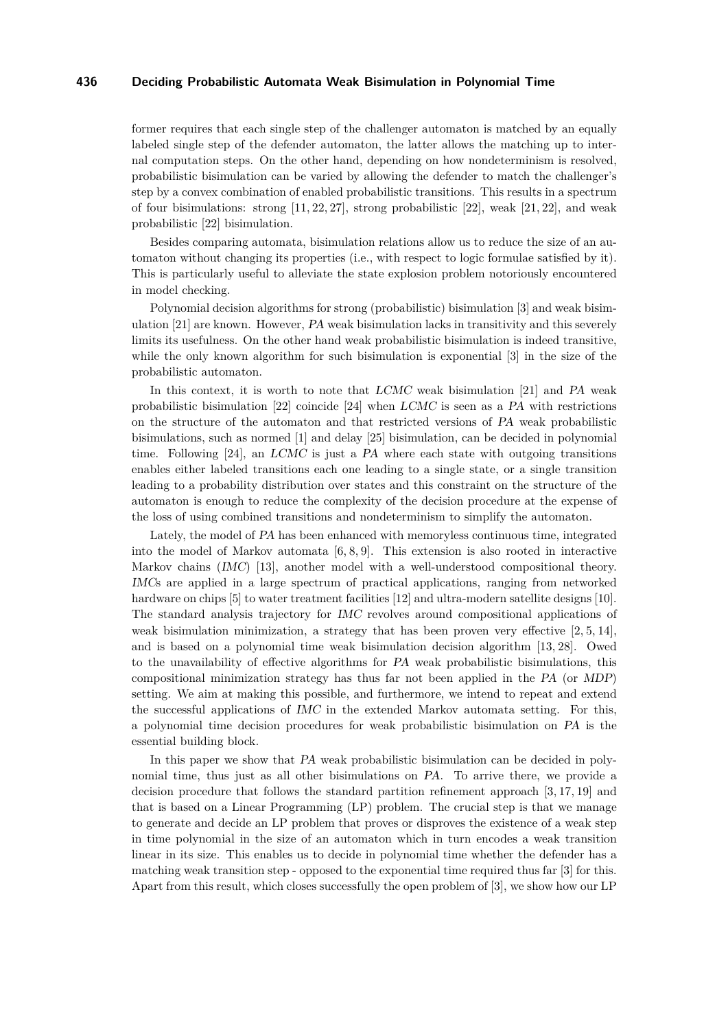former requires that each single step of the challenger automaton is matched by an equally labeled single step of the defender automaton, the latter allows the matching up to internal computation steps. On the other hand, depending on how nondeterminism is resolved, probabilistic bisimulation can be varied by allowing the defender to match the challenger's step by a convex combination of enabled probabilistic transitions. This results in a spectrum of four bisimulations: strong  $[11, 22, 27]$  $[11, 22, 27]$  $[11, 22, 27]$ , strong probabilistic  $[22]$ , weak  $[21, 22]$  $[21, 22]$ , and weak probabilistic [\[22\]](#page-12-1) bisimulation.

Besides comparing automata, bisimulation relations allow us to reduce the size of an automaton without changing its properties (i.e., with respect to logic formulae satisfied by it). This is particularly useful to alleviate the state explosion problem notoriously encountered in model checking.

Polynomial decision algorithms for strong (probabilistic) bisimulation [\[3\]](#page-11-0) and weak bisimulation [\[21\]](#page-12-5) are known. However, PA weak bisimulation lacks in transitivity and this severely limits its usefulness. On the other hand weak probabilistic bisimulation is indeed transitive, while the only known algorithm for such bisimulation is exponential [\[3\]](#page-11-0) in the size of the probabilistic automaton.

In this context, it is worth to note that LCMC weak bisimulation [\[21\]](#page-12-5) and PA weak probabilistic bisimulation [\[22\]](#page-12-1) coincide [\[24\]](#page-12-9) when LCMC is seen as a PA with restrictions on the structure of the automaton and that restricted versions of PA weak probabilistic bisimulations, such as normed [\[1\]](#page-11-1) and delay [\[25\]](#page-12-10) bisimulation, can be decided in polynomial time. Following  $[24]$ , an LCMC is just a PA where each state with outgoing transitions enables either labeled transitions each one leading to a single state, or a single transition leading to a probability distribution over states and this constraint on the structure of the automaton is enough to reduce the complexity of the decision procedure at the expense of the loss of using combined transitions and nondeterminism to simplify the automaton.

Lately, the model of PA has been enhanced with memoryless continuous time, integrated into the model of Markov automata  $[6, 8, 9]$  $[6, 8, 9]$  $[6, 8, 9]$ . This extension is also rooted in interactive Markov chains (IMC) [\[13\]](#page-12-14), another model with a well-understood compositional theory. IMCs are applied in a large spectrum of practical applications, ranging from networked hardware on chips [\[5\]](#page-12-15) to water treatment facilities [\[12\]](#page-12-16) and ultra-modern satellite designs [\[10\]](#page-12-17). The standard analysis trajectory for IMC revolves around compositional applications of weak bisimulation minimization, a strategy that has been proven very effective  $[2, 5, 14]$  $[2, 5, 14]$  $[2, 5, 14]$ , and is based on a polynomial time weak bisimulation decision algorithm [\[13,](#page-12-14) [28\]](#page-12-19). Owed to the unavailability of effective algorithms for PA weak probabilistic bisimulations, this compositional minimization strategy has thus far not been applied in the PA (or MDP) setting. We aim at making this possible, and furthermore, we intend to repeat and extend the successful applications of IMC in the extended Markov automata setting. For this, a polynomial time decision procedures for weak probabilistic bisimulation on PA is the essential building block.

In this paper we show that PA weak probabilistic bisimulation can be decided in polynomial time, thus just as all other bisimulations on PA. To arrive there, we provide a decision procedure that follows the standard partition refinement approach [\[3,](#page-11-0) [17,](#page-12-20) [19\]](#page-12-21) and that is based on a Linear Programming (LP) problem. The crucial step is that we manage to generate and decide an LP problem that proves or disproves the existence of a weak step in time polynomial in the size of an automaton which in turn encodes a weak transition linear in its size. This enables us to decide in polynomial time whether the defender has a matching weak transition step - opposed to the exponential time required thus far [\[3\]](#page-11-0) for this. Apart from this result, which closes successfully the open problem of [\[3\]](#page-11-0), we show how our LP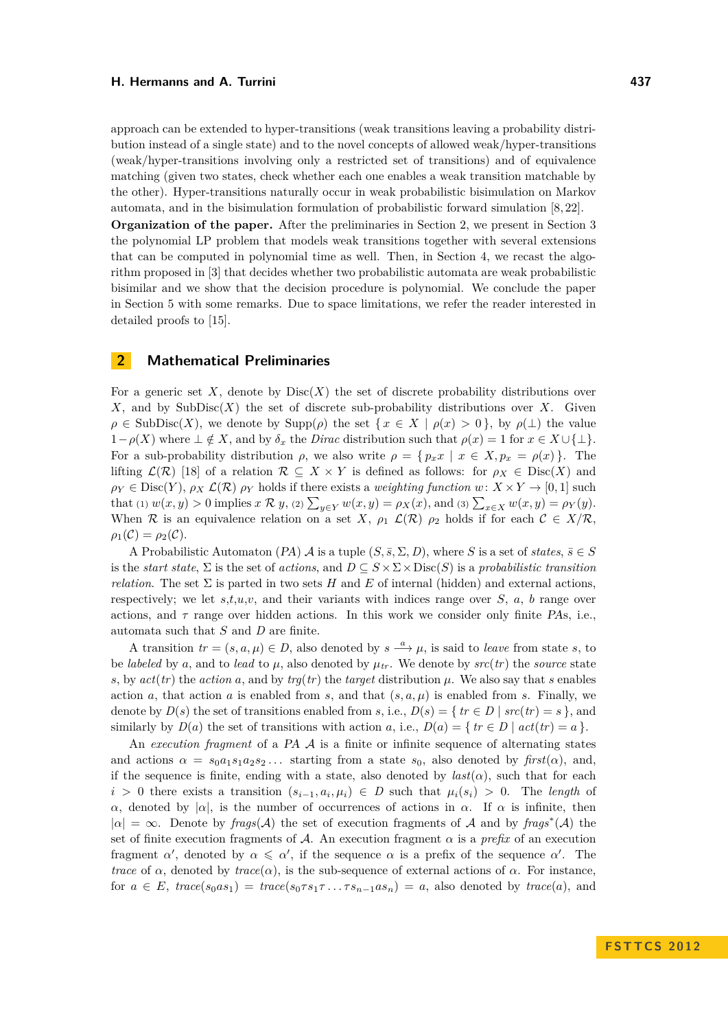approach can be extended to hyper-transitions (weak transitions leaving a probability distribution instead of a single state) and to the novel concepts of allowed weak/hyper-transitions (weak/hyper-transitions involving only a restricted set of transitions) and of equivalence matching (given two states, check whether each one enables a weak transition matchable by the other). Hyper-transitions naturally occur in weak probabilistic bisimulation on Markov automata, and in the bisimulation formulation of probabilistic forward simulation [\[8,](#page-12-12) [22\]](#page-12-1).

**Organization of the paper.** After the preliminaries in Section [2,](#page-2-0) we present in Section [3](#page-4-0) the polynomial LP problem that models weak transitions together with several extensions that can be computed in polynomial time as well. Then, in Section [4,](#page-10-0) we recast the algorithm proposed in [\[3\]](#page-11-0) that decides whether two probabilistic automata are weak probabilistic bisimilar and we show that the decision procedure is polynomial. We conclude the paper in Section [5](#page-11-3) with some remarks. Due to space limitations, we refer the reader interested in detailed proofs to [\[15\]](#page-12-22).

## <span id="page-2-0"></span>**2 Mathematical Preliminaries**

For a generic set X, denote by  $Disc(X)$  the set of discrete probability distributions over *X*, and by SubDisc $(X)$  the set of discrete sub-probability distributions over *X*. Given  $\rho \in SubDisc(X)$ , we denote by  $Supp(\rho)$  the set  $\{x \in X \mid \rho(x) > 0\}$ , by  $\rho(\perp)$  the value 1−*ρ*(*X*) where  $\bot \notin X$ , and by  $\delta_x$  the *Dirac* distribution such that  $ρ(x) = 1$  for  $x \in X \cup \{\bot\}$ . For a sub-probability distribution  $\rho$ , we also write  $\rho = \{p_x x \mid x \in X, p_x = \rho(x)\}\.$  The lifting  $\mathcal{L}(\mathcal{R})$  [\[18\]](#page-12-23) of a relation  $\mathcal{R} \subseteq X \times Y$  is defined as follows: for  $\rho_X \in \text{Disc}(X)$  and  $\rho_Y \in \text{Disc}(Y)$ ,  $\rho_X \mathcal{L}(\mathcal{R})$   $\rho_Y$  holds if there exists a *weighting function*  $w: X \times Y \to [0,1]$  such that (1)  $w(x, y) > 0$  implies  $x \mathcal{R} y$ , (2)  $\sum_{y \in Y} w(x, y) = \rho_X(x)$ , and (3)  $\sum_{x \in X} w(x, y) = \rho_Y(y)$ . When R is an equivalence relation on a set X,  $\rho_1$   $\mathcal{L}(\mathcal{R})$   $\rho_2$  holds if for each  $\mathcal{C} \in X/\mathcal{R}$ ,  $\rho_1(\mathcal{C}) = \rho_2(\mathcal{C}).$ 

A Probabilistic Automaton (PA)  $\mathcal A$  is a tuple  $(S, \overline{s}, \Sigma, D)$ , where *S* is a set of *states*,  $\overline{s} \in S$ is the *start state*,  $\Sigma$  is the set of *actions*, and  $D \subseteq S \times \Sigma \times \text{Disc}(S)$  is a *probabilistic transition relation*. The set  $\Sigma$  is parted in two sets *H* and *E* of internal (hidden) and external actions, respectively; we let  $s,t,u,v$ , and their variants with indices range over  $S$ ,  $a$ ,  $b$  range over actions, and  $\tau$  range over hidden actions. In this work we consider only finite PAs, i.e., automata such that *S* and *D* are finite.

A transition  $tr = (s, a, \mu) \in D$ , also denoted by  $s \stackrel{a}{\longrightarrow} \mu$ , is said to *leave* from state *s*, to be *labeled* by a, and to *lead* to  $\mu$ , also denoted by  $\mu_{tr}$ . We denote by  $src(tr)$  the *source* state *s*, by  $act(tr)$  the *action a*, and by  $trg(tr)$  the *target* distribution  $\mu$ . We also say that *s* enables action *a*, that action *a* is enabled from *s*, and that  $(s, a, \mu)$  is enabled from *s*. Finally, we denote by  $D(s)$  the set of transitions enabled from *s*, i.e.,  $D(s) = \{ tr \in D \mid src(tr) = s \}$ , and similarly by  $D(a)$  the set of transitions with action *a*, i.e.,  $D(a) = \{ tr \in D \mid act(tr) = a \}.$ 

An *execution fragment* of a PA A is a finite or infinite sequence of alternating states and actions  $\alpha = s_0 a_1 s_1 a_2 s_2 \dots$  starting from a state  $s_0$ , also denoted by  $first(\alpha)$ , and, if the sequence is finite, ending with a state, also denoted by  $last(\alpha)$ , such that for each *i* > 0 there exists a transition  $(s_{i-1}, a_i, \mu_i)$  ∈ *D* such that  $\mu_i(s_i)$  > 0. The *length* of *α*, denoted by |*α*|, is the number of occurrences of actions in *α*. If *α* is infinite, then  $|\alpha| = \infty$ . Denote by *frags*(A) the set of execution fragments of A and by *frags*<sup>\*</sup>(A) the set of finite execution fragments of A. An execution fragment  $\alpha$  is a *prefix* of an execution fragment *α*', denoted by  $\alpha \leq \alpha'$ , if the sequence  $\alpha$  is a prefix of the sequence  $\alpha'$ . The *trace* of  $\alpha$ , denoted by  $trace(\alpha)$ , is the sub-sequence of external actions of  $\alpha$ . For instance, for  $a \in E$ ,  $trace(s_0as_1) = trace(s_0 \tau s_1 \tau \ldots \tau s_{n-1}as_n) = a$ , also denoted by  $trace(a)$ , and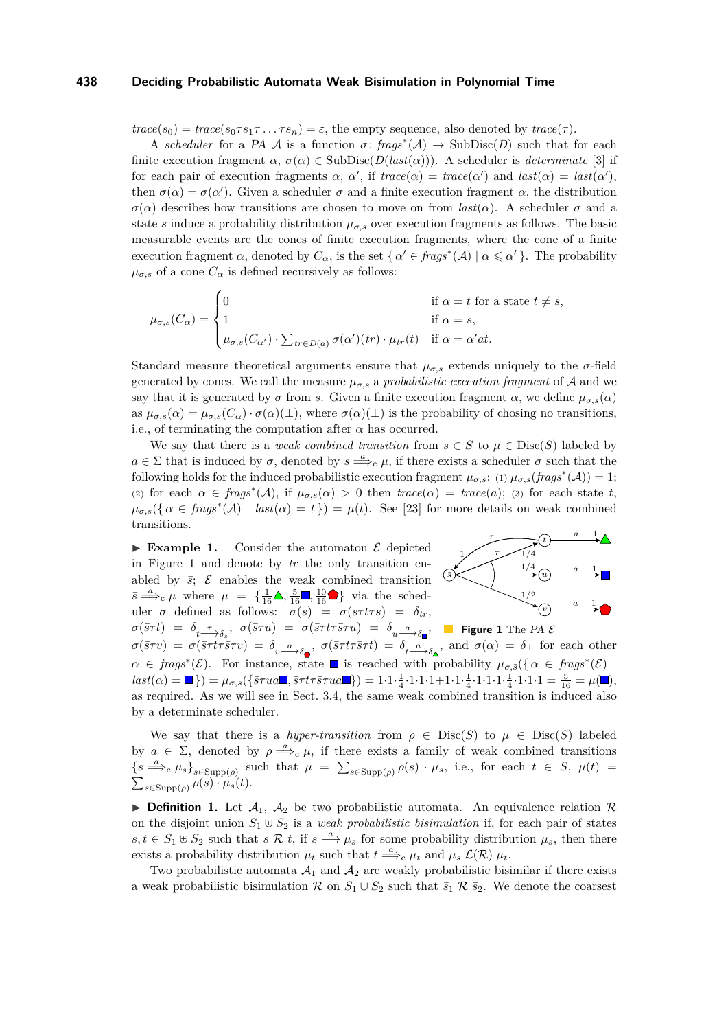$trace(s_0) = trace(s_0 \tau s_1 \tau \ldots \tau s_n) = \varepsilon$ , the empty sequence, also denoted by  $trace(\tau)$ .

A *scheduler* for a PA A is a function  $\sigma$ :  $frags^*(\mathcal{A}) \to \text{SubDisc}(D)$  such that for each finite execution fragment  $\alpha$ ,  $\sigma(\alpha) \in SubDisc(D(last(\alpha)))$ . A scheduler is *determinate* [\[3\]](#page-11-0) if for each pair of execution fragments  $\alpha$ ,  $\alpha'$ , if  $trace(\alpha) = trace(\alpha')$  and  $last(\alpha) = last(\alpha')$ , then  $\sigma(\alpha) = \sigma(\alpha')$ . Given a scheduler  $\sigma$  and a finite execution fragment  $\alpha$ , the distribution *σ*(*α*) describes how transitions are chosen to move on from *last*(*α*). A scheduler *σ* and a state *s* induce a probability distribution  $\mu_{\sigma,s}$  over execution fragments as follows. The basic measurable events are the cones of finite execution fragments, where the cone of a finite execution fragment  $\alpha$ , denoted by  $C_{\alpha}$ , is the set  $\{ \alpha' \in \text{frags}^*(\mathcal{A}) \mid \alpha \leq \alpha' \}$ . The probability  $\mu_{\sigma,s}$  of a cone  $C_{\alpha}$  is defined recursively as follows:

$$
\mu_{\sigma,s}(C_{\alpha}) = \begin{cases}\n0 & \text{if } \alpha = t \text{ for a state } t \neq s, \\
1 & \text{if } \alpha = s, \\
\mu_{\sigma,s}(C_{\alpha'}) \cdot \sum_{tr \in D(a)} \sigma(\alpha')(tr) \cdot \mu_{tr}(t) & \text{if } \alpha = \alpha' at.\n\end{cases}
$$

Standard measure theoretical arguments ensure that  $\mu_{\sigma,s}$  extends uniquely to the  $\sigma$ -field generated by cones. We call the measure  $\mu_{\sigma,s}$  a *probabilistic execution fragment* of A and we say that it is generated by  $\sigma$  from *s*. Given a finite execution fragment  $\alpha$ , we define  $\mu_{\sigma,s}(\alpha)$ as  $\mu_{\sigma,s}(\alpha) = \mu_{\sigma,s}(C_{\alpha}) \cdot \sigma(\alpha) (\perp)$ , where  $\sigma(\alpha) (\perp)$  is the probability of chosing no transitions, i.e., of terminating the computation after  $\alpha$  has occurred.

We say that there is a *weak combined transition* from  $s \in S$  to  $\mu \in \text{Disc}(S)$  labeled by  $a \in \Sigma$  that is induced by  $\sigma$ , denoted by  $s \stackrel{a}{\Longrightarrow}_c \mu$ , if there exists a scheduler  $\sigma$  such that the following holds for the induced probabilistic execution fragment  $\mu_{\sigma,s}$ : (1)  $\mu_{\sigma,s}(frags^*(\mathcal{A})) = 1$ ; (2) for each  $\alpha \in \text{frags}^*(\mathcal{A})$ , if  $\mu_{\sigma,s}(\alpha) > 0$  then  $\text{trace}(\alpha) = \text{trace}(a)$ ; (3) for each state *t*,  $\mu_{\sigma,s}(\{\alpha \in \text{frags}^*(\mathcal{A}) \mid \text{last}(\alpha) = t\}) = \mu(t)$ . See [\[23\]](#page-12-7) for more details on weak combined transitions.

 $\sigma(\bar{s}\tau t)$  =  $\delta_{t-\frac{\tau}{\sqrt{\delta_{\bar{s}}}}}, \ \sigma(\bar{s}\tau u)$  =  $\sigma(\bar{s}\tau t \tau \bar{s}\tau u)$  =  $\delta_{u-\frac{a}{\sqrt{\delta_{\blacksquare}}}},$  Figure 1 The PA  $\mathcal E$  $\triangleright$  **Example 1.** Consider the automaton  $\mathcal{E}$  depicted in Figure [1](#page-3-0) and denote by *tr* the only transition enabled by  $\bar{s}$ ;  $\mathcal{E}$  enables the weak combined transition  $\bar{s} \stackrel{a}{\Longrightarrow}_c \mu$  where  $\mu = \{\frac{1}{16} \blacktriangle, \frac{5}{16} \blacksquare, \frac{10}{16} \blacktriangleright \}$  via the scheduler  $\sigma$  defined as follows:  $\sigma(\bar{s}) = \sigma(\bar{s}\tau t\tau\bar{s}) = \delta_{tr}$ ,

<span id="page-3-0"></span>

 $\sigma(\bar{s}\tau v) = \sigma(\bar{s}\tau t \tau \bar{s}\tau v) = \delta_{v} \frac{a}{\sigma \sigma \phi}$ ,  $\sigma(\bar{s}\tau t \tau \bar{s}\tau t) = \delta_{t} \frac{a}{\sigma \phi}$ , and  $\sigma(\alpha) = \delta_{\perp}$  for each other  $\alpha \in \text{frags}^*(\mathcal{E})$ . For instance, state is reached with probability  $\mu_{\sigma,\bar{s}}(\{\alpha \in \text{frags}^*(\mathcal{E})\})$  $\text{last}(\alpha) = \blacksquare$ ) =  $\mu_{\sigma, \bar{s}}(\{\bar{s}\tau u a \blacksquare, \bar{s}\tau t \tau \bar{s}\tau u a \blacksquare\}) = 1 \cdot 1 \cdot \frac{1}{4} \cdot 1 \cdot 1 \cdot 1 + 1 \cdot 1 \cdot \frac{1}{4} \cdot 1 \cdot 1 \cdot 1 \cdot 1 + \frac{1}{4} \cdot 1 \cdot 1 \cdot 1 = \frac{5}{16} = \mu(\blacksquare),$ as required. As we will see in Sect. [3.4,](#page-8-0) the same weak combined transition is induced also by a determinate scheduler.

We say that there is a *hyper-transition* from  $\rho \in \text{Disc}(S)$  to  $\mu \in \text{Disc}(S)$  labeled by  $a \in \Sigma$ , denoted by  $\rho \stackrel{a}{\Longrightarrow}_c \mu$ , if there exists a family of weak combined transitions  $\{s \stackrel{a}{\Longrightarrow}_c \mu_s\}_{s \in \text{Supp}(\rho)}$  such that  $\mu = \sum_{s \in \text{Supp}(\rho)} \rho(s) \cdot \mu_s$ , i.e., for each  $t \in S$ ,  $\mu(t) =$  $\sum_{s \in \text{Supp}(\rho)} \rho(s) \cdot \mu_s(t)$ .

**Definition 1.** Let  $A_1$ ,  $A_2$  be two probabilistic automata. An equivalence relation  $\mathcal{R}$ on the disjoint union  $S_1 \oplus S_2$  is a *weak probabilistic bisimulation* if, for each pair of states  $s, t \in S_1 \oplus S_2$  such that  $s \mathcal{R} t$ , if  $s \stackrel{a}{\longrightarrow} \mu_s$  for some probability distribution  $\mu_s$ , then there exists a probability distribution  $\mu_t$  such that  $t \stackrel{a}{\Longrightarrow}_c \mu_t$  and  $\mu_s \mathcal{L}(\mathcal{R}) \mu_t$ .

Two probabilistic automata  $A_1$  and  $A_2$  are weakly probabilistic bisimilar if there exists a weak probabilistic bisimulation R on  $S_1 \oplus S_2$  such that  $\bar{s}_1 \otimes \bar{s}_2$ . We denote the coarsest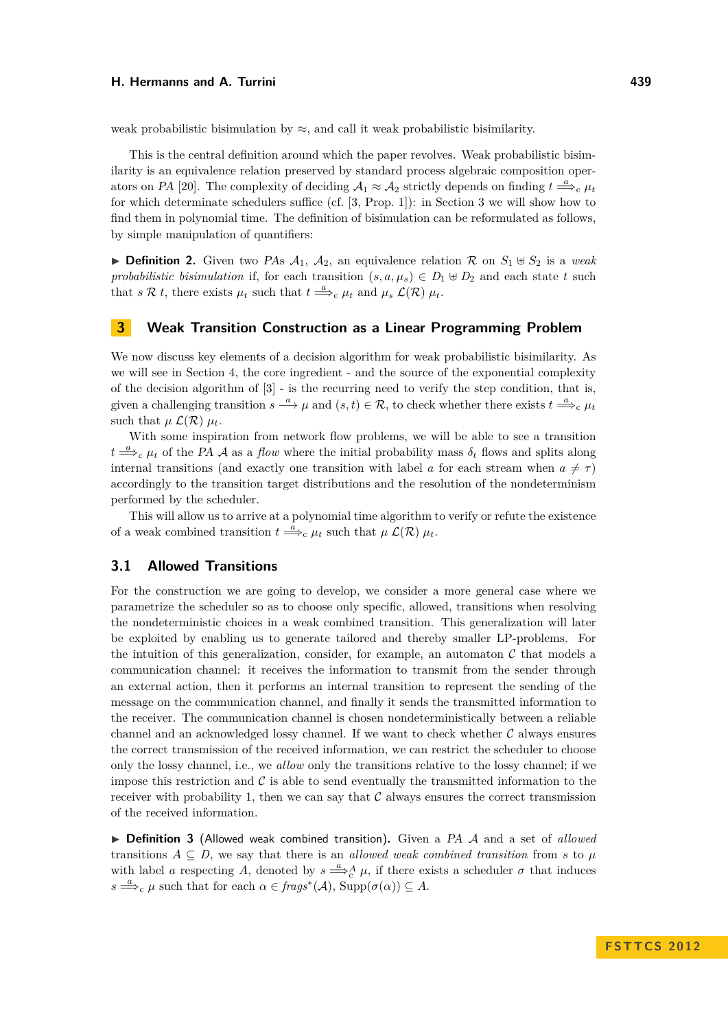weak probabilistic bisimulation by  $\approx$ , and call it weak probabilistic bisimilarity.

This is the central definition around which the paper revolves. Weak probabilistic bisimilarity is an equivalence relation preserved by standard process algebraic composition oper-ators on PA [\[20\]](#page-12-24). The complexity of deciding  $A_1 \approx A_2$  strictly depends on finding  $t \stackrel{a}{\Longrightarrow}_c \mu_t$ for which determinate schedulers suffice (cf. [\[3,](#page-11-0) Prop. 1]): in Section [3](#page-4-0) we will show how to find them in polynomial time. The definition of bisimulation can be reformulated as follows, by simple manipulation of quantifiers:

**Definition 2.** Given two PAs  $A_1$ ,  $A_2$ , an equivalence relation R on  $S_1 \oplus S_2$  is a *weak probabilistic bisimulation* if, for each transition  $(s, a, \mu_s) \in D_1 \oplus D_2$  and each state t such that *s*  $\mathcal{R}$  *t*, there exists  $\mu_t$  such that  $t \stackrel{a}{\Longrightarrow}_c \mu_t$  and  $\mu_s \mathcal{L}(\mathcal{R}) \mu_t$ .

## <span id="page-4-0"></span>**3 Weak Transition Construction as a Linear Programming Problem**

We now discuss key elements of a decision algorithm for weak probabilistic bisimilarity. As we will see in Section [4,](#page-10-0) the core ingredient - and the source of the exponential complexity of the decision algorithm of  $[3]$  - is the recurring need to verify the step condition, that is, given a challenging transition  $s \stackrel{a}{\longrightarrow} \mu$  and  $(s,t) \in \mathcal{R}$ , to check whether there exists  $t \stackrel{a}{\Longrightarrow}_c \mu_t$ such that  $\mu$   $\mathcal{L}(\mathcal{R})$   $\mu_t$ .

With some inspiration from network flow problems, we will be able to see a transition  $t \stackrel{a}{\Longrightarrow}_c \mu_t$  of the PA A as a *flow* where the initial probability mass  $\delta_t$  flows and splits along internal transitions (and exactly one transition with label *a* for each stream when  $a \neq \tau$ ) accordingly to the transition target distributions and the resolution of the nondeterminism performed by the scheduler.

This will allow us to arrive at a polynomial time algorithm to verify or refute the existence of a weak combined transition  $t \stackrel{a}{\Longrightarrow}_c \mu_t$  such that  $\mu \mathcal{L}(\mathcal{R}) \mu_t$ .

## **3.1 Allowed Transitions**

For the construction we are going to develop, we consider a more general case where we parametrize the scheduler so as to choose only specific, allowed, transitions when resolving the nondeterministic choices in a weak combined transition. This generalization will later be exploited by enabling us to generate tailored and thereby smaller LP-problems. For the intuition of this generalization, consider, for example, an automaton  $\mathcal C$  that models a communication channel: it receives the information to transmit from the sender through an external action, then it performs an internal transition to represent the sending of the message on the communication channel, and finally it sends the transmitted information to the receiver. The communication channel is chosen nondeterministically between a reliable channel and an acknowledged lossy channel. If we want to check whether  $\mathcal C$  always ensures the correct transmission of the received information, we can restrict the scheduler to choose only the lossy channel, i.e., we *allow* only the transitions relative to the lossy channel; if we impose this restriction and  $\mathcal C$  is able to send eventually the transmitted information to the receiver with probability 1, then we can say that  $\mathcal C$  always ensures the correct transmission of the received information.

▶ Definition 3 (Allowed weak combined transition). Given a PA A and a set of *allowed* transitions  $A \subseteq D$ , we say that there is an *allowed weak combined transition* from *s* to *µ* with label *a* respecting *A*, denoted by  $s \stackrel{a}{\Longrightarrow}_c^A \mu$ , if there exists a scheduler  $\sigma$  that induces  $s \stackrel{a}{\Longrightarrow}_c \mu$  such that for each  $\alpha \in \text{frags}^*(\mathcal{A})$ ,  $\text{Supp}(\sigma(\alpha)) \subseteq A$ .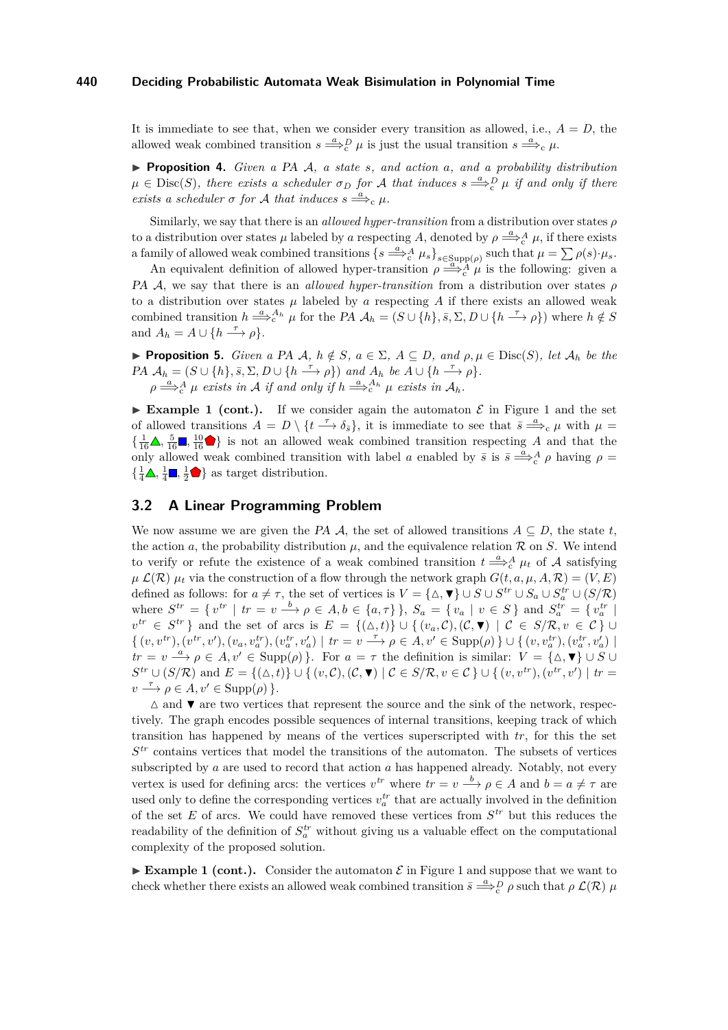It is immediate to see that, when we consider every transition as allowed, i.e.,  $A = D$ , the allowed weak combined transition  $s \stackrel{a}{\Longrightarrow}_c^D \mu$  is just the usual transition  $s \stackrel{a}{\Longrightarrow}_c \mu$ .

<span id="page-5-0"></span>I **Proposition 4.** *Given a* PA A*, a state s, and action a, and a probability distribution*  $\mu \in \text{Disc}(S)$ , there exists a scheduler  $\sigma_D$  for A that induces  $s \stackrel{a}{\Longrightarrow}_c^D \mu$  if and only if there *exists a scheduler*  $\sigma$  *for*  $\mathcal A$  *that induces*  $s \stackrel{a}{\Longrightarrow}_c \mu$ *.* 

Similarly, we say that there is an *allowed hyper-transition* from a distribution over states *ρ* to a distribution over states  $\mu$  labeled by *a* respecting *A*, denoted by  $\rho \stackrel{a}{\Longrightarrow}_c^A \mu$ , if there exists a family of allowed weak combined transitions  $\{s \stackrel{a}{\Longrightarrow}_c^A \mu_s\}_{s \in \text{Supp}(\rho)}$  such that  $\mu = \sum \rho(s) \cdot \mu_s$ .

An equivalent definition of allowed hyper-transition  $\rho \stackrel{a}{\Longrightarrow}_c^A \mu$  is the following: given a PA A, we say that there is an *allowed hyper-transition* from a distribution over states *ρ* to a distribution over states  $\mu$  labeled by  $\alpha$  respecting  $A$  if there exists an allowed weak combined transition  $h \stackrel{a}{\Longrightarrow}^{A_h}_c \mu$  for the PA  $\mathcal{A}_h = (S \cup \{h\}, \bar{s}, \Sigma, D \cup \{h \stackrel{\tau}{\longrightarrow} \rho\})$  where  $h \notin S$ and  $A_h = A \cup \{h \stackrel{\tau}{\longrightarrow} \rho\}.$ 

<span id="page-5-1"></span>**► Proposition 5.** *Given a PA A, h*  $\notin S$ *, a* ∈  $\Sigma$ *, A* ⊆ *D, and*  $\rho, \mu \in \text{Disc}(S)$ *, let*  $\mathcal{A}_h$  *be the*  $PA$   $\mathcal{A}_h = (S \cup \{h\}, \bar{s}, \Sigma, D \cup \{h \stackrel{\tau}{\longrightarrow} \rho\})$  and  $A_h$  be  $A \cup \{h \stackrel{\tau}{\longrightarrow} \rho\}.$  $\rho \stackrel{a}{\Longrightarrow}^A_c \mu$  *exists in* A *if and only if*  $h \stackrel{a}{\Longrightarrow}^A_c h$ <sup>*u*</sup>  $\mu$  *exists in*  $A_h$ *.* 

**Example [1](#page-3-0) (cont.).** If we consider again the automaton  $\mathcal{E}$  in Figure 1 and the set of allowed transitions  $A = D \setminus \{t \stackrel{\tau}{\longrightarrow} \delta_{\bar{s}}\}$ , it is immediate to see that  $\bar{s} \stackrel{a}{\Longrightarrow}_c \mu$  with  $\mu =$  $\{\frac{1}{16}\blacktriangle, \frac{5}{16}\blacktriangleright, \frac{10}{16}\blacktriangleright\}$  is not an allowed weak combined transition respecting *A* and that the only allowed weak combined transition with label *a* enabled by  $\bar{s}$  is  $\bar{s} \stackrel{a}{\Longrightarrow}^A_c \rho$  having  $\rho =$  $\{\frac{1}{4}\blacktriangle, \frac{1}{4}\blacksquare, \frac{1}{2}\blacktriangleright\}$  as target distribution.

## **3.2 A Linear Programming Problem**

We now assume we are given the PA  $\mathcal{A}$ , the set of allowed transitions  $A \subseteq D$ , the state  $t$ , the action *a*, the probability distribution  $\mu$ , and the equivalence relation  $\mathcal R$  on *S*. We intend to verify or refute the existence of a weak combined transition  $t \stackrel{a}{\Longrightarrow}_c^A \mu_t$  of A satisfying  $\mu$   $\mathcal{L}(\mathcal{R})$   $\mu_t$  via the construction of a flow through the network graph  $G(t, a, \mu, A, \mathcal{R}) = (V, E)$ defined as follows: for  $a \neq \tau$ , the set of vertices is  $V = {\Delta, \blacktriangledown} \cup S \cup S^{tr} \cup S_a \cup S_a^{tr} \cup (S/R)$ where  $S^{tr} = \{ v^{tr} | tr = v \xrightarrow{b} \rho \in A, b \in \{a, \tau\} \}, S_a = \{ v_a | v \in S \}$  and  $S_a^{tr} = \{ v_a^{tr} |$ *v*<sup>tr</sup> ∈ *S*<sup>tr</sup>} and the set of arcs is  $E = \{(\Delta, t)\}$  ∪  $\{(v_a, C), (C, \mathbf{V}) | C \in S/R, v \in C\}$  ∪  $\{ (v, v^{tr}), (v^{tr}, v'), (v_a, v_a^{tr}), (v_a^{tr}, v_a') \mid tr = v \xrightarrow{\tau} \rho \in A, v' \in \text{Supp}(\rho) \} \cup \{ (v, v_a^{tr}), (v_a^{tr}, v_a') \mid u \in A \}$  $tr = v \stackrel{a}{\longrightarrow} \rho \in A, v' \in \text{Supp}(\rho) \}$ . For  $a = \tau$  the definition is similar:  $V = {\Delta, \blacktriangledown} \cup S \cup \emptyset$  $S^{tr} \cup (S/R)$  and  $E = \{(\Delta, t)\} \cup \{ (v, \mathcal{C}), (\mathcal{C}, \blacktriangledown) \mid \mathcal{C} \in S/R, v \in \mathcal{C} \} \cup \{ (v, v^{tr}), (v^{tr}, v') \mid tr = \emptyset \}$  $v \stackrel{\tau}{\longrightarrow} \rho \in A, v' \in \text{Supp}(\rho) \}.$ 

 $\triangle$  and  $\blacktriangledown$  are two vertices that represent the source and the sink of the network, respectively. The graph encodes possible sequences of internal transitions, keeping track of which transition has happened by means of the vertices superscripted with *tr*, for this the set *S tr* contains vertices that model the transitions of the automaton. The subsets of vertices subscripted by *a* are used to record that action *a* has happened already. Notably, not every vertex is used for defining arcs: the vertices  $v^{tr}$  where  $tr = v \stackrel{b}{\longrightarrow} \rho \in A$  and  $b = a \neq \tau$  are used only to define the corresponding vertices  $v_a^{tr}$  that are actually involved in the definition of the set *E* of arcs. We could have removed these vertices from *S tr* but this reduces the readability of the definition of  $S_a^{tr}$  without giving us a valuable effect on the computational complexity of the proposed solution.

Example [1](#page-3-0) (cont.). Consider the automaton  $\mathcal E$  in Figure 1 and suppose that we want to check whether there exists an allowed weak combined transition  $\bar{s} \stackrel{a}{\Longrightarrow}_c^D \rho$  such that  $\rho \mathcal{L}(\mathcal{R})$   $\mu$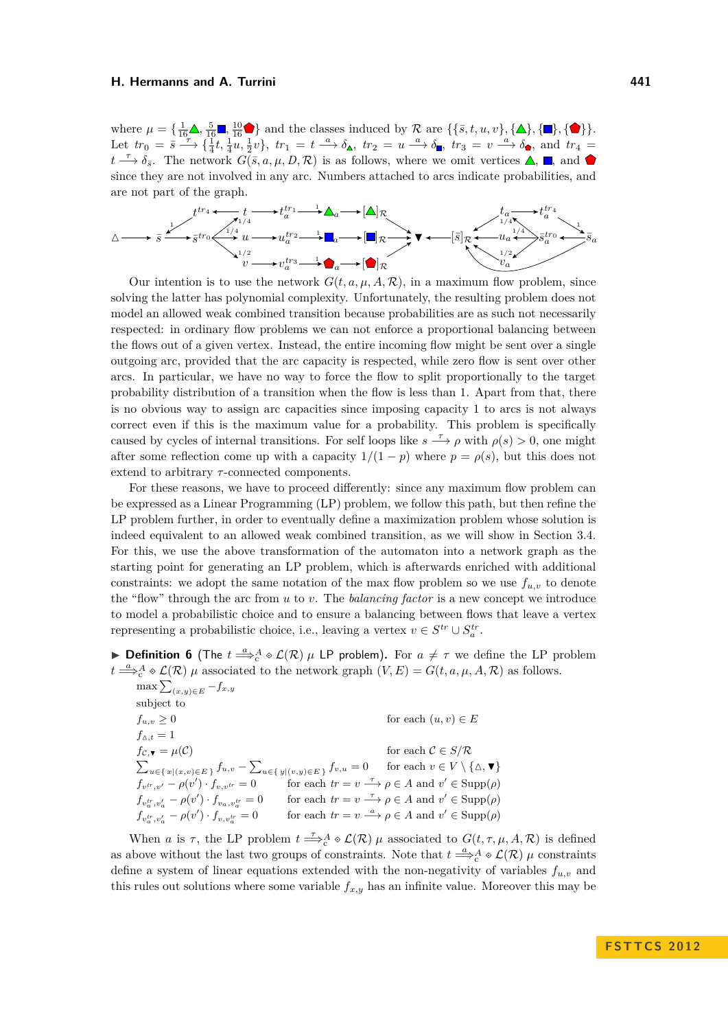where  $\mu = \{\frac{1}{16}\mathbf{\Delta}, \frac{5}{16}\mathbf{\mathsf{T}}, \frac{10}{16}\mathbf{\blacklozenge}\}$  and the classes induced by  $\mathcal{R}$  are  $\{\{\bar{s}, t, u, v\}, \{\Delta\}, \{\mathbf{\mathsf{T}}\}, \{\blacklozenge\}\}.$ Let  $tr_0 = \overline{s} \stackrel{\tau}{\longrightarrow} \{\frac{1}{4}t, \frac{1}{4}u, \frac{1}{2}v\}, \; tr_1 = t \stackrel{a}{\longrightarrow} \delta_{\blacktriangle}$ ,  $tr_2 = u \stackrel{a}{\longrightarrow} \delta_{\blacksquare}$ ,  $tr_3 = v \stackrel{a}{\longrightarrow} \delta_{\blacktriangle}$ , and  $tr_4 =$  $t \stackrel{\tau}{\longrightarrow} \delta_{\bar{s}}$ . The network  $G(\bar{s}, a, \mu, D, \mathcal{R})$  is as follows, where we omit vertices  $\blacktriangle$ ,  $\blacksquare$ , and since they are not involved in any arc. Numbers attached to arcs indicate probabilities, and are not part of the graph.



Our intention is to use the network  $G(t, a, \mu, A, \mathcal{R})$ , in a maximum flow problem, since solving the latter has polynomial complexity. Unfortunately, the resulting problem does not model an allowed weak combined transition because probabilities are as such not necessarily respected: in ordinary flow problems we can not enforce a proportional balancing between the flows out of a given vertex. Instead, the entire incoming flow might be sent over a single outgoing arc, provided that the arc capacity is respected, while zero flow is sent over other arcs. In particular, we have no way to force the flow to split proportionally to the target probability distribution of a transition when the flow is less than 1. Apart from that, there is no obvious way to assign arc capacities since imposing capacity 1 to arcs is not always correct even if this is the maximum value for a probability. This problem is specifically caused by cycles of internal transitions. For self loops like  $s \stackrel{\tau}{\longrightarrow} \rho$  with  $\rho(s) > 0$ , one might after some reflection come up with a capacity  $1/(1 - p)$  where  $p = \rho(s)$ , but this does not extend to arbitrary *τ* -connected components.

For these reasons, we have to proceed differently: since any maximum flow problem can be expressed as a Linear Programming (LP) problem, we follow this path, but then refine the LP problem further, in order to eventually define a maximization problem whose solution is indeed equivalent to an allowed weak combined transition, as we will show in Section [3.4.](#page-8-0) For this, we use the above transformation of the automaton into a network graph as the starting point for generating an LP problem, which is afterwards enriched with additional constraints: we adopt the same notation of the max flow problem so we use  $f_{u,v}$  to denote the "flow" through the arc from *u* to *v*. The *balancing factor* is a new concept we introduce to model a probabilistic choice and to ensure a balancing between flows that leave a vertex representing a probabilistic choice, i.e., leaving a vertex  $v \in S^{tr} \cup S_a^{tr}$ .

**▶ Definition 6** (The  $t \stackrel{a}{\Longrightarrow}_c^A \circ \mathcal{L}(\mathcal{R})$   $\mu$  LP problem). For  $a \neq \tau$  we define the LP problem  $t \stackrel{a}{\Longrightarrow}_c^A \phi \mathcal{L}(\mathcal{R})$  *µ* associated to the network graph  $(V, E) = G(t, a, \mu, A, \mathcal{R})$  as follows.

 $\max\sum_{(x,y)\in E} -f_{x,y}$ subject to  $f_{u,v} \geq 0$  for each  $(u, v) \in E$  $f_{\Delta,t} = 1$ <br> $f_{\mathcal{C},\mathbf{v}} = \mu(\mathcal{C})$  $f_{\mathcal{C},\mathbf{v}} = \mu(\mathcal{C})$  for each  $\mathcal{C} \in S/\mathcal{R}$  $\sum_{u \in \{x | (x,v) \in E\}} f_{u,v} - \sum_{u \in \{y | (v,y) \in E\}} f_{v,u} = 0$  for each  $v \in V \setminus \{\Delta, \mathbf{v}\}\$  $f_{v^{tr},v'} - \rho(v') \cdot f_{v,v^{tr}} = 0$  for each  $tr = v \xrightarrow{\tau} \rho \in A$  and  $v' \in \text{Supp}(\rho)$  $f_{v_a^{tr}, v_a'} - \rho(v') \cdot f_{v_a, v_a^{tr}} = 0$  for each  $tr = v \stackrel{\tau}{\longrightarrow} \rho \in A$  and  $v' \in \text{Supp}(\rho)$  $f_{v_a^t, v_a'} - \rho(v') \cdot f_{v, v_a^{t}} = 0$  for each  $tr = v \stackrel{a}{\longrightarrow} \rho \in A$  and  $v' \in \text{Supp}(\rho)$ 

When *a* is  $\tau$ , the LP problem  $t \stackrel{\tau}{\Longrightarrow}_c^A \otimes \mathcal{L}(\mathcal{R})$  *µ* associated to  $G(t, \tau, \mu, A, \mathcal{R})$  is defined as above without the last two groups of constraints. Note that  $t \stackrel{a}{\Longrightarrow}_c^A \otimes \mathcal{L}(\mathcal{R})$   $\mu$  constraints define a system of linear equations extended with the non-negativity of variables  $f_{u,v}$  and this rules out solutions where some variable  $f_{x,y}$  has an infinite value. Moreover this may be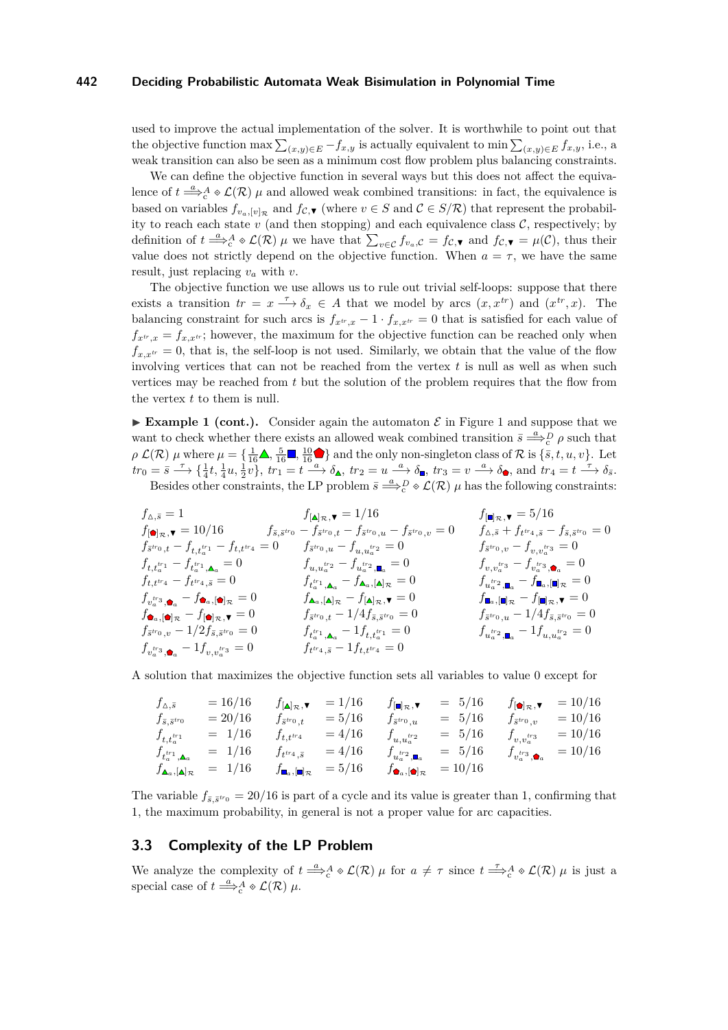used to improve the actual implementation of the solver. It is worthwhile to point out that the objective function max  $\sum_{(x,y)\in E} -f_{x,y}$  is actually equivalent to min  $\sum_{(x,y)\in E} f_{x,y}$ , i.e., a weak transition can also be seen as a minimum cost flow problem plus balancing constraints.

We can define the objective function in several ways but this does not affect the equivalence of  $t \stackrel{a}{\Longrightarrow}_c^A \circ \mathcal{L}(\mathcal{R})$  *µ* and allowed weak combined transitions: in fact, the equivalence is based on variables  $f_{v_a,[v]_\mathcal{R}}$  and  $f_{\mathcal{C},\mathbf{V}}$  (where  $v \in S$  and  $\mathcal{C} \in S/\mathcal{R}$ ) that represent the probability to reach each state  $v$  (and then stopping) and each equivalence class  $C$ , respectively; by definition of  $t \stackrel{a}{\Longrightarrow}_c^A \circ \mathcal{L}(\mathcal{R})$   $\mu$  we have that  $\sum_{v \in \mathcal{C}} f_{v_a, \mathcal{C}} = f_{\mathcal{C}, \blacktriangledown}$  and  $f_{\mathcal{C}, \blacktriangledown} = \mu(\mathcal{C})$ , thus their value does not strictly depend on the objective function. When  $a = \tau$ , we have the same result, just replacing *v<sup>a</sup>* with *v*.

The objective function we use allows us to rule out trivial self-loops: suppose that there exists a transition  $tr = x \stackrel{\tau}{\longrightarrow} \delta_x \in A$  that we model by arcs  $(x, x^{tr})$  and  $(x^{tr}, x)$ . The balancing constraint for such arcs is  $f_{x^t,x} - 1 \cdot f_{x,x^t} = 0$  that is satisfied for each value of  $f_{x^t,x} = f_{x,x^t}$ ; however, the maximum for the objective function can be reached only when  $f_{x,x}$ <sup>*tr*</sup> = 0, that is, the self-loop is not used. Similarly, we obtain that the value of the flow involving vertices that can not be reached from the vertex *t* is null as well as when such vertices may be reached from *t* but the solution of the problem requires that the flow from the vertex *t* to them is null.

**Example [1](#page-3-0) (cont.).** Consider again the automaton  $\mathcal{E}$  in Figure 1 and suppose that we want to check whether there exists an allowed weak combined transition  $\bar{s} \stackrel{a}{\Longrightarrow}_c^D \rho$  such that  $\rho \mathcal{L}(\mathcal{R}) \mu$  where  $\mu = \{\frac{1}{16} \blacktriangle, \frac{5}{16} \blacktriangleright, \frac{10}{16} \blacktriangleright\}$  and the only non-singleton class of  $\mathcal{R}$  is  $\{\bar{s}, t, u, v\}$ . Let  $tr_0 = \bar{s} \longrightarrow \{\frac{1}{4}t, \frac{1}{4}u, \frac{1}{2}v\}, \, tr_1 = t \stackrel{a}{\longrightarrow} \delta_{\blacktriangle}$ ,  $tr_2 = u \stackrel{a}{\longrightarrow} \delta_{\blacksquare}$ ,  $tr_3 = v \stackrel{a}{\longrightarrow} \delta_{\blacktriangle}$ , and  $tr_4 = t \stackrel{\tau}{\longrightarrow} \delta_{\bar{s}}$ . Besides other constraints, the LP problem  $\bar{s} \stackrel{a}{\Longrightarrow}_c^D \circ \mathcal{L}(\mathcal{R})$   $\mu$  has the following constraints:

$$
\begin{array}{lllllllllll} f_{\Delta,\bar{s}}=1 & f_{[\blacksquare]\mathcal{R},\blacktriangledown}=1/16 & f_{[\blacksquare]\mathcal{R},\blacktriangledown}=5/16 & f_{[\blacksquare]\mathcal{R},\blacktriangledown}=5/16 & \\ f_{[\blacksquare]\mathcal{R},\blacktriangledown}=10/16 & f_{\bar{s},\bar{s}}v_0-f_{\bar{s}}v_{0,t}-f_{\bar{s}}v_{0,t}-f_{\bar{s}}v_{0,t}-f_{\bar{s}}v_{0,t}-f_{\bar{s}}v_{0,t}-f_{\bar{s},\bar{s}}v_{0}=0 & f_{\Delta,\bar{s}}+f_{t}v_{4,\bar{s}}-f_{\bar{s},\bar{s}}v_{0}=0 & \\ f_{\bar{s}}v_{0,t}-f_{t,t_{a}^{t_{1}}}-f_{t_{a}^{t_{1}}},\Delta_{a}=0 & f_{u,u_{a}^{t_{1}}2}-f_{u_{a}^{t_{1}}},\Delta_{a}=0 & f_{u,v_{a}^{t_{1}}3}-f_{v_{a}^{t_{2}}},\Delta_{a}=0 & \\ f_{t,t_{a}^{t_{1}}}-f_{t_{a}^{t_{1}},\Delta_{a}}=0 & f_{t_{a}^{t_{1}}},\Delta_{a}-f_{\Delta_{a},[\blacksquare]\mathcal{R}}=0 & f_{u_{a}^{t_{1}}},\Delta_{a}-f_{\Delta_{a},[\blacksquare]\mathcal{R}}=0 & \\ f_{u_{a}^{t_{1}}},\Delta_{a}-f_{\Delta_{a},[\blacksquare]\mathcal{R}}=0 & f_{\Delta_{a},[\blacksquare]\mathcal{R},\blacktriangledown=0} & f_{u_{a}^{t_{1}}},\Delta_{a}-f_{\blacksquare}\mathcal{R},\blacktriangledown=0 & \\ f_{\bar{s}}v_{0,v}-1/2f_{\bar{s},\bar{s}}v_{0}=0 & f_{t_{a}^{t_{1}}},\Delta_{a}-1f_{t,t_{a}^{t_{1}}}=0 & f_{u_{a}^{t_{2}}},\Delta_{a}-1f_{u,u_{a}^{t_{2}}}=0 & \\ f_{u_{a}^{t_{2}}},\blacksquare\mathcal{R}}=1f_{v,v_{a}^{t_{2}}}=0 & f_{t_{a}^{t_{1}}},\Delta_{a}-1f_{t,t_{a}^{t_{1}}}=0 & f_{u_{a}^{t_{2}}},\Delta_{a}-1f_{u,u_{a}^{t_{2}}}=0 & \\
$$

A solution that maximizes the objective function sets all variables to value 0 except for

$$
f_{\Delta,\bar{s}} = 16/16 \t f_{[\Delta]_{\mathcal{R}},\mathbf{v}} = 1/16 \t f_{[\mathbf{u}]_{\mathcal{R}},\mathbf{v}} = 5/16 \t f_{[\mathbf{u}]_{\mathcal{R}},\mathbf{v}} = 5/16 \t f_{[\mathbf{u}]_{\mathcal{R}},\mathbf{v}} = 10/16
$$
\n
$$
f_{\bar{s},\bar{s}}^{tr_0} = 20/16 \t f_{\bar{s}}^{tr_0}, \t= 5/16 \t f_{\bar{s}}^{tr_0}, \t= 5/16 \t f_{\bar{s}}^{tr_0}, \t= 10/16
$$
\n
$$
f_{t,t}^{tr_1} = 1/16 \t f_{t,t}^{tr_4} = 4/16 \t f_{u,u}^{tr_2} = 5/16 \t f_{v,v}^{tr_3} = 10/16
$$
\n
$$
f_{t}^{tr_1} \cdot \mathbf{A}_{a} = 1/16 \t f_{t}^{tr_4}, \bar{s} = 4/16 \t f_{u}^{tr_2} \cdot \mathbf{I}_{a} = 5/16 \t f_{v}^{tr_3} \cdot \mathbf{A}_{a} = 10/16
$$
\n
$$
f_{\mathbf{A}_{a},[\mathbf{A}]_{\mathcal{R}}} = 1/16 \t f_{\mathbf{u}_{a},[\mathbf{u}]_{\mathcal{R}}} = 5/16 \t f_{\mathbf{A}_{a},[\mathbf{u}]_{\mathcal{R}}} = 10/16
$$

The variable  $f_{\bar{s}, \bar{s}^{tr_0}} = 20/16$  is part of a cycle and its value is greater than 1, confirming that 1, the maximum probability, in general is not a proper value for arc capacities.

# **3.3 Complexity of the LP Problem**

We analyze the complexity of  $t \stackrel{a}{\Longrightarrow}_c^A \circ \mathcal{L}(\mathcal{R}) \mu$  for  $a \neq \tau$  since  $t \stackrel{\tau}{\Longrightarrow}_c^A \circ \mathcal{L}(\mathcal{R}) \mu$  is just a special case of  $t \stackrel{a}{\Longrightarrow}_c^A \diamond \mathcal{L}(\mathcal{R})$   $\mu$ .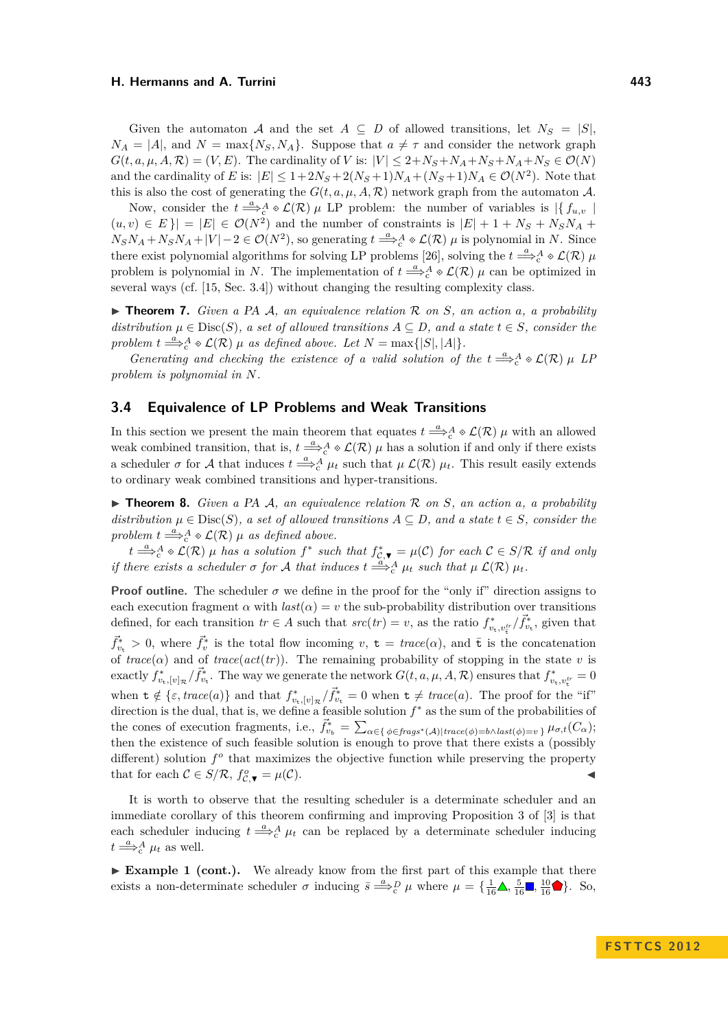Given the automaton A and the set  $A \subseteq D$  of allowed transitions, let  $N_S = |S|$ ,  $N_A = |A|$ , and  $N = \max\{N_S, N_A\}$ . Suppose that  $a \neq \tau$  and consider the network graph  $G(t, a, \mu, A, \mathcal{R}) = (V, E)$ . The cardinality of *V* is:  $|V| \leq 2 + N_S + N_A + N_S + N_A + N_S \in \mathcal{O}(N)$ and the cardinality of *E* is:  $|E| \leq 1 + 2N_S + 2(N_S + 1)N_A + (N_S + 1)N_A \in \mathcal{O}(N^2)$ . Note that this is also the cost of generating the  $G(t, a, \mu, A, \mathcal{R})$  network graph from the automaton A.

Now, consider the  $t \stackrel{a}{\Longrightarrow}_c^A \otimes \mathcal{L}(\mathcal{R})$   $\mu$  LP problem: the number of variables is  $|\{f_{u,v}\}\rangle$  $(u, v) \in E$  | =  $|E| \in \mathcal{O}(N^2)$  and the number of constraints is  $|E| + 1 + N_S + N_S N_A + N_S N_A$  $N_S N_A + N_S N_A + |V| - 2 \in \mathcal{O}(N^2)$ , so generating  $t \stackrel{a}{\Longrightarrow}_c^A \otimes \mathcal{L}(\mathcal{R})$  *µ* is polynomial in *N*. Since there exist polynomial algorithms for solving LP problems [\[26\]](#page-12-25), solving the  $t \stackrel{a}{\Longrightarrow}_c^A \otimes \mathcal{L}(\mathcal{R})$   $\mu$ problem is polynomial in *N*. The implementation of  $t \stackrel{a}{\Longrightarrow}_c^A \circ \mathcal{L}(\mathcal{R})$  *µ* can be optimized in several ways (cf. [\[15,](#page-12-22) Sec. 3.4]) without changing the resulting complexity class.

<span id="page-8-2"></span>▶ **Theorem 7.** *Given a PA A, an equivalence relation* R *on S, an action a, a probability distribution*  $\mu \in \text{Disc}(S)$ *, a set of allowed transitions*  $A \subseteq D$ *, and a state*  $t \in S$ *, consider the problem*  $t \stackrel{a}{\Longrightarrow}_c^A \circ \mathcal{L}(\mathcal{R}) \mu$  *as defined above. Let*  $N = \max\{|S|, |A|\}.$ 

*Generating and checking the existence of a valid solution of the*  $t \stackrel{a}{\Longrightarrow}_c^A \circ \mathcal{L}(\mathcal{R}) \mu$  *LP problem is polynomial in N.*

## <span id="page-8-0"></span>**3.4 Equivalence of LP Problems and Weak Transitions**

In this section we present the main theorem that equates  $t \stackrel{a}{\Longrightarrow}_c^A \otimes \mathcal{L}(\mathcal{R})$   $\mu$  with an allowed weak combined transition, that is,  $t \stackrel{a}{\Longrightarrow}_c^A \diamond \mathcal{L}(\mathcal{R})$   $\mu$  has a solution if and only if there exists a scheduler  $\sigma$  for A that induces  $t \stackrel{a}{\Longrightarrow}_c^A \mu_t$  such that  $\mu$   $\mathcal{L}(\mathcal{R})$   $\mu_t$ . This result easily extends to ordinary weak combined transitions and hyper-transitions.

<span id="page-8-1"></span>I **Theorem 8.** *Given a* PA A*, an equivalence relation* R *on S, an action a, a probability distribution*  $\mu \in \text{Disc}(S)$ *, a set of allowed transitions*  $A \subseteq D$ *, and a state*  $t \in S$ *, consider the problem*  $t \stackrel{a}{\Longrightarrow}^A_c \diamond \mathcal{L}(\mathcal{R})$  *µ as defined above.* 

 $t \stackrel{a}{\Longrightarrow}_c^A \circ \mathcal{L}(\mathcal{R})$  *µ has a solution*  $f^*$  *such that*  $f_c^*$   $\bullet$  =  $\mu(\mathcal{C})$  *for each*  $\mathcal{C} \in S/\mathcal{R}$  *if and only if there exists a scheduler*  $\sigma$  *for*  $\mathcal A$  *that induces*  $t \stackrel{a'}{\Longrightarrow}_c^{\mathcal A} \mu_t$  *such that*  $\mu$   $\mathcal L(\mathcal R) \mu_t$ *.* 

**Proof outline.** The scheduler  $\sigma$  we define in the proof for the "only if" direction assigns to each execution fragment  $\alpha$  with  $last(\alpha) = v$  the sub-probability distribution over transitions defined, for each transition  $tr \in A$  such that  $src(tr) = v$ , as the ratio  $f_{v_t, v_t^{tr}}^* / \vec{f}_{v_t}^*$ , given that  $\vec{f}_{v_t}^* > 0$ , where  $\vec{f}_v^*$  is the total flow incoming  $v, t = \text{trace}(\alpha)$ , and  $\bar{t}$  is the concatenation of  $trace(\alpha)$  and of  $trace(act(tr))$ . The remaining probability of stopping in the state *v* is exactly  $f_{v_{\rm t}}^*/[v]_{\mathcal{R}}/\vec{f}_{v_{\rm t}}^*$ . The way we generate the network  $G(t, a, \mu, A, \mathcal{R})$  ensures that  $f_{v_{\rm t},v_{\rm t}}^* = 0$ when  $\mathbf{t} \notin \{\varepsilon, trace(a)\}\$  and that  $f_{v_{\mathbf{t}},[v]_{\mathcal{R}}}/\vec{f}_{v_{\mathbf{t}}}^{*} = 0$  when  $\mathbf{t} \neq trace(a)$ . The proof for the "if" direction is the dual, that is, we define a feasible solution  $f^*$  as the sum of the probabilities of the cones of execution fragments, i.e.,  $\vec{f}_{v_b}^* = \sum_{\alpha \in \{\phi \in \text{frags}^*(\mathcal{A}) | \text{trace}(\phi) = b \land \text{last}(\phi) = v\}} \mu_{\sigma,t}(C_\alpha);$ then the existence of such feasible solution is enough to prove that there exists a (possibly different) solution  $f^o$  that maximizes the objective function while preserving the property that for each  $C \in S/R$ ,  $f_{C,\nabla}^o = \mu(C)$ .

It is worth to observe that the resulting scheduler is a determinate scheduler and an immediate corollary of this theorem confirming and improving Proposition 3 of [\[3\]](#page-11-0) is that each scheduler inducing  $t \stackrel{a}{\Longrightarrow}_c^A \mu_t$  can be replaced by a determinate scheduler inducing  $t \stackrel{a}{\Longrightarrow}_c^A \mu_t$  as well.

► **Example 1 (cont.).** We already know from the first part of this example that there exists a non-determinate scheduler  $\sigma$  inducing  $\bar{s} \stackrel{a}{\Longrightarrow}_c^D \mu$  where  $\mu = {\frac{1}{16} \mathbf{\hat{A}}, \frac{5}{16} \mathbf{\hat{A}}, \frac{10}{16} \mathbf{\hat{C}}}.$  So,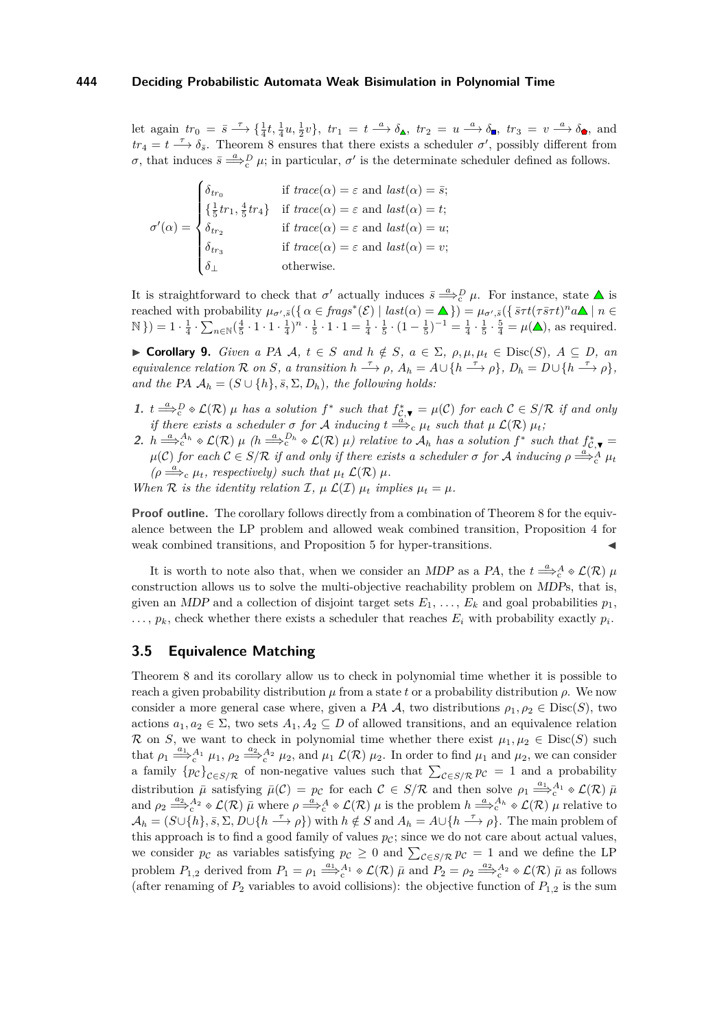let again  $tr_0 = \bar{s} \longrightarrow \{\frac{1}{4}t, \frac{1}{4}u, \frac{1}{2}v\}$ ,  $tr_1 = t \longrightarrow \delta_{\mathbb{A}}$ ,  $tr_2 = u \longrightarrow \delta_{\mathbb{B}}$ ,  $tr_3 = v \longrightarrow \delta_{\mathbb{B}}$ , and  $tr_4 = t \stackrel{\tau}{\longrightarrow} \delta_{\bar{s}}$ . Theorem [8](#page-8-1) ensures that there exists a scheduler  $\sigma'$ , possibly different from *σ*, that induces  $\bar{s} \stackrel{a}{\Longrightarrow}_c^D \mu$ ; in particular, *σ*<sup>'</sup> is the determinate scheduler defined as follows.

$$
\sigma'(\alpha) = \begin{cases}\n\delta_{tr_0} & \text{if } trace(\alpha) = \varepsilon \text{ and } last(\alpha) = \bar{s}; \\
\{\frac{1}{5}tr_1, \frac{4}{5}tr_4\} & \text{if } trace(\alpha) = \varepsilon \text{ and } last(\alpha) = t; \\
\delta_{tr_2} & \text{if } trace(\alpha) = \varepsilon \text{ and } last(\alpha) = u; \\
\delta_{tr_3} & \text{if } trace(\alpha) = \varepsilon \text{ and } last(\alpha) = v; \\
\delta_{\perp} & \text{otherwise.} \n\end{cases}
$$

It is straightforward to check that  $\sigma'$  actually induces  $\bar{s} \stackrel{a}{\Longrightarrow}^D_c \mu$ . For instance, state  $\Delta$  is reached with probability  $\mu_{\sigma',\bar{s}}(\{\alpha \in \text{frags}^*(\mathcal{E}) \mid \text{last}(\alpha) = \Delta\}) = \mu_{\sigma',\bar{s}}(\{\text{art}(\tau \bar{s} \tau t)^n a \Delta \mid n \in \mathcal{E}\})$  $\mathbb{N}$ }) = 1 ·  $\frac{1}{4} \cdot \sum_{n \in \mathbb{N}} (\frac{4}{5} \cdot 1 \cdot 1 \cdot \frac{1}{4})^n \cdot \frac{1}{5} \cdot 1 \cdot 1 = \frac{1}{4} \cdot \frac{1}{5} \cdot (1 - \frac{1}{5})^{-1} = \frac{1}{4} \cdot \frac{1}{5} \cdot \frac{5}{4} = \mu(\triangle)$ , as required.

<span id="page-9-0"></span> $\triangleright$  **Corollary 9.** *Given a PA A, t* ∈ *S and h*  $\notin$  *S*, *a* ∈ Σ, *ρ*, *μ*,  $\mu$ <sub>*t*</sub> ∈ Disc(*S*), *A* ⊆ *D*, *an* equivalence relation R on S, a transition  $h \stackrel{\tau}{\longrightarrow} \rho$ ,  $A_h = A \cup \{h \stackrel{\tau}{\longrightarrow} \rho\}$ ,  $D_h = D \cup \{h \stackrel{\tau}{\longrightarrow} \rho\}$ , *and the* PA  $A_h = (S \cup \{h\}, \overline{s}, \Sigma, D_h)$ *, the following holds:* 

- <span id="page-9-2"></span>**1.**  $t \stackrel{a}{\Longrightarrow}_c^D \diamond \mathcal{L}(\mathcal{R})$  µ has a solution  $f^*$  such that  $f_{\mathcal{C},\blacktriangledown}^* = \mu(\mathcal{C})$  for each  $\mathcal{C} \in S/\mathcal{R}$  if and only *if there exists a scheduler*  $\sigma$  *for*  $\mathcal A$  *inducing*  $t \stackrel{a}{\Longrightarrow}_c \mu_t$  *such that*  $\mu$   $\mathcal L(\mathcal R) \mu_t$ *;*
- <span id="page-9-1"></span>2.  $h \stackrel{a}{\Longrightarrow}^{\mathcal{A}_h}_{c} \circ \mathcal{L}(\mathcal{R}) \mu$  (h $\stackrel{a}{\Longrightarrow}^{\mathcal{D}_h}_{c} \circ \mathcal{L}(\mathcal{R}) \mu$ ) relative to  $\mathcal{A}_h$  has a solution  $f^*$  such that  $f_{c,\blacktriangledown}^*$  $\mu(\mathcal{C})$  *for each*  $\mathcal{C} \in S/\mathcal{R}$  *if and only if there exists a scheduler*  $\sigma$  *for*  $\mathcal{A}$  *inducing*  $\rho \stackrel{a}{\Longrightarrow}_c^{\mathcal{A}} \mu_t$  $(\rho \Longrightarrow_{c}^{\alpha} \mu_{t}, \text{ respectively}) \text{ such that } \mu_{t} \mathcal{L}(\mathcal{R}) \mu_{t}$

*When*  $R$  *is the identity relation*  $I$ *,*  $\mu$   $\mathcal{L}(I)$   $\mu_t$  *implies*  $\mu_t = \mu$ *.* 

**Proof outline.** The corollary follows directly from a combination of Theorem [8](#page-8-1) for the equivalence between the LP problem and allowed weak combined transition, Proposition [4](#page-5-0) for weak combined transitions, and Proposition [5](#page-5-1) for hyper-transitions.

It is worth to note also that, when we consider an *MDP* as a PA, the  $t \stackrel{a}{\Longrightarrow}_c^A \otimes \mathcal{L}(\mathcal{R})$   $\mu$ construction allows us to solve the multi-objective reachability problem on MDPs, that is, given an MDP and a collection of disjoint target sets  $E_1, \ldots, E_k$  and goal probabilities  $p_1$ ,  $\ldots$ ,  $p_k$ , check whether there exists a scheduler that reaches  $E_i$  with probability exactly  $p_i$ .

## **3.5 Equivalence Matching**

Theorem [8](#page-8-1) and its corollary allow us to check in polynomial time whether it is possible to reach a given probability distribution *µ* from a state *t* or a probability distribution *ρ*. We now consider a more general case where, given a PA  $\mathcal A$ , two distributions  $\rho_1, \rho_2 \in \text{Disc}(S)$ , two actions  $a_1, a_2 \in \Sigma$ , two sets  $A_1, A_2 \subseteq D$  of allowed transitions, and an equivalence relation R on *S*, we want to check in polynomial time whether there exist  $\mu_1, \mu_2 \in \text{Disc}(S)$  such that  $\rho_1 \stackrel{a_1}{\Longrightarrow}_c^{A_1} \mu_1$ ,  $\rho_2 \stackrel{a_2}{\Longrightarrow}_c^{A_2} \mu_2$ , and  $\mu_1 \mathcal{L}(\mathcal{R}) \mu_2$ . In order to find  $\mu_1$  and  $\mu_2$ , we can consider a family  ${p_c}_{c \in S/R}$  of non-negative values such that  $\sum_{c \in S/R} p_c = 1$  and a probability distribution  $\bar{\mu}$  satisfying  $\bar{\mu}(\mathcal{C}) = p_{\mathcal{C}}$  for each  $\mathcal{C} \in S/R$  and then solve  $\rho_1 \stackrel{a_1}{\Longrightarrow} {}_{c}^{A_1} \otimes \mathcal{L}(\mathcal{R}) \bar{\mu}$ and  $\rho_2 \stackrel{a_2}{\Longrightarrow}_c^{A_2} \otimes \mathcal{L}(\mathcal{R})$   $\bar{\mu}$  where  $\rho \stackrel{a}{\Longrightarrow}_c^A \otimes \mathcal{L}(\mathcal{R})$   $\mu$  is the problem  $h \stackrel{a}{\Longrightarrow}_c^{A_h} \otimes \mathcal{L}(\mathcal{R})$   $\mu$  relative to  $\mathcal{A}_h = (S \cup \{h\}, \bar{s}, \Sigma, D \cup \{h \stackrel{\tau}{\longrightarrow} \rho\})$  with  $h \notin S$  and  $A_h = A \cup \{h \stackrel{\tau}{\longrightarrow} \rho\}$ . The main problem of this approach is to find a good family of values  $p_c$ ; since we do not care about actual values, we consider  $p_{\mathcal{C}}$  as variables satisfying  $p_{\mathcal{C}} \geq 0$  and  $\sum_{\mathcal{C} \in S/\mathcal{R}} p_{\mathcal{C}} = 1$  and we define the LP problem  $P_{1,2}$  derived from  $P_1 = \rho_1 \stackrel{a_1}{\Longrightarrow}_c^{A_1} \otimes \mathcal{L}(\mathcal{R})$   $\bar{\mu}$  and  $P_2 = \rho_2 \stackrel{a_2}{\Longrightarrow}_c^{A_2} \otimes \mathcal{L}(\mathcal{R})$   $\bar{\mu}$  as follows (after renaming of  $P_2$  variables to avoid collisions): the objective function of  $P_{1,2}$  is the sum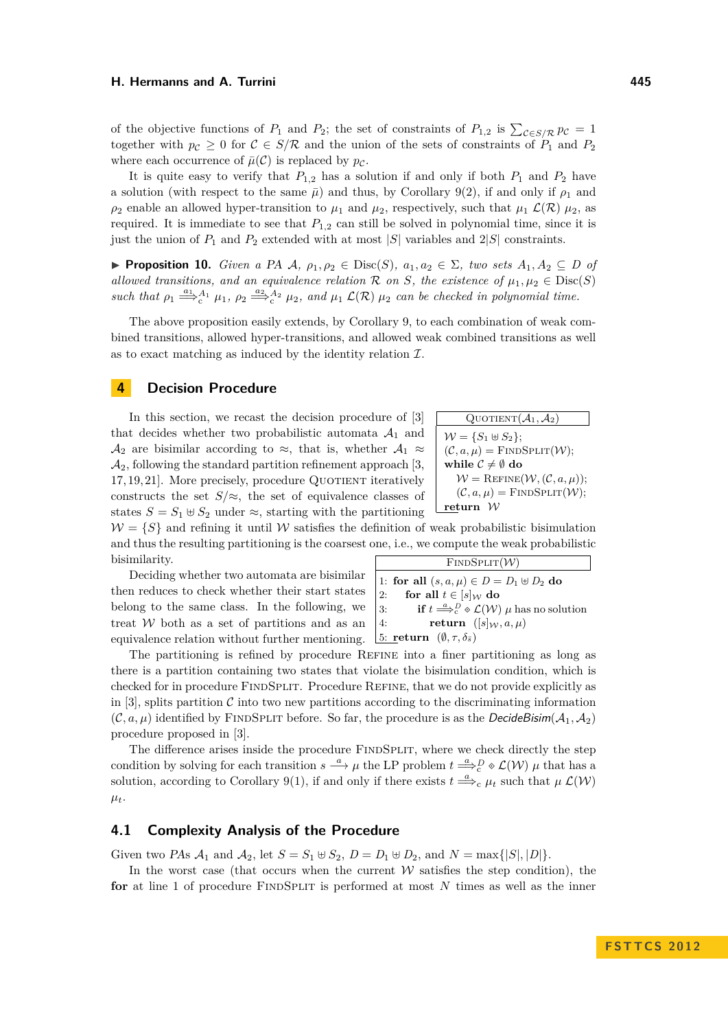of the objective functions of  $P_1$  and  $P_2$ ; the set of constraints of  $P_{1,2}$  is  $\sum_{\mathcal{C} \in S/\mathcal{R}} p_{\mathcal{C}} = 1$ together with  $p_c \geq 0$  for  $C \in S/R$  and the union of the sets of constraints of  $P_1$  and  $P_2$ where each occurrence of  $\bar{\mu}(\mathcal{C})$  is replaced by  $p_{\mathcal{C}}$ .

It is quite easy to verify that  $P_{1,2}$  has a solution if and only if both  $P_1$  and  $P_2$  have a solution (with respect to the same  $\bar{\mu}$ ) and thus, by Corollary [9](#page-9-0)[\(2\)](#page-9-1), if and only if  $\rho_1$  and  $\rho_2$  enable an allowed hyper-transition to  $\mu_1$  and  $\mu_2$ , respectively, such that  $\mu_1 \mathcal{L}(\mathcal{R})$   $\mu_2$ , as required. It is immediate to see that  $P_{1,2}$  can still be solved in polynomial time, since it is just the union of  $P_1$  and  $P_2$  extended with at most |*S*| variables and  $2|S|$  constraints.

**► Proposition 10.** *Given a* PA  $A$ *,*  $ρ_1$ *,*  $ρ_2$  ∈ Disc(*S*)*,*  $a_1$ *,*  $a_2$  ∈  $\Sigma$ *, two sets*  $A_1$ *,*  $A_2$  ⊆ *D of allowed transitions, and an equivalence relation*  $\mathcal R$  *on S, the existence of*  $\mu_1, \mu_2 \in \text{Disc}(S)$ *such that*  $\rho_1 \stackrel{a_1}{\Longrightarrow}^{\mathcal{A}_1}_{c} \mu_1$ ,  $\rho_2 \stackrel{a_2}{\Longrightarrow}^{\mathcal{A}_2}_{c} \mu_2$ , and  $\mu_1 \mathcal{L}(\mathcal{R}) \mu_2$  *can be checked in polynomial time.* 

The above proposition easily extends, by Corollary [9,](#page-9-0) to each combination of weak combined transitions, allowed hyper-transitions, and allowed weak combined transitions as well as to exact matching as induced by the identity relation  $\mathcal{I}$ .

## <span id="page-10-0"></span>**4 Decision Procedure**

In this section, we recast the decision procedure of [\[3\]](#page-11-0) that decides whether two probabilistic automata  $A_1$  and  $\mathcal{A}_2$  are bisimilar according to  $\approx$ , that is, whether  $\mathcal{A}_1 \approx$  $\mathcal{A}_2$ , following the standard partition refinement approach [\[3,](#page-11-0)  $17, 19, 21$  $17, 19, 21$  $17, 19, 21$ . More precisely, procedure QUOTIENT iteratively constructs the set  $S/\approx$ , the set of equivalence classes of states  $S = S_1 \oplus S_2$  under  $\approx$ , starting with the partitioning

Quotient
$$
(A_1, A_2)
$$
  
\n $W = \{S_1 \oplus S_2\};$   
\n $(C, a, \mu) = \text{FINDSPLIT}(W);$   
\nwhile  $C \neq \emptyset$  do  
\n $W = \text{REFINE}(W, (C, a, \mu));$   
\n $(C, a, \mu) = \text{FINDSPLIT}(W);$   
\nreturn W

 $W = \{S\}$  and refining it until W satisfies the definition of weak probabilistic bisimulation and thus the resulting partitioning is the coarsest one, i.e., we compute the weak probabilistic bisimilarity. FINDSPLIT $(W)$ 

Deciding whether two automata are bisimilar then reduces to check whether their start states belong to the same class. In the following, we treat W both as a set of partitions and as an equivalence relation without further mentioning.

|    | 1: for all $(s, a, \mu) \in D = D_1 \oplus D_2$ do                                               |
|----|--------------------------------------------------------------------------------------------------|
| 2: | for all $t \in [s]_{\mathcal{W}}$ do                                                             |
| 3: | if $t \stackrel{a}{\Longrightarrow}_c^D \diamond \mathcal{L}(\mathcal{W})$ $\mu$ has no solution |
| 4: | return $([s]_W, a, \mu)$                                                                         |
|    | 5: return $(\emptyset, \tau, \delta_{\bar{s}})$                                                  |

The partitioning is refined by procedure Refine into a finer partitioning as long as there is a partition containing two states that violate the bisimulation condition, which is checked for in procedure FindSplit. Procedure Refine, that we do not provide explicitly as in [\[3\]](#page-11-0), splits partition  $\mathcal C$  into two new partitions according to the discriminating information  $(C, a, \mu)$  identified by FINDSPLIT before. So far, the procedure is as the *DecideBisim* $(A_1, A_2)$ procedure proposed in [\[3\]](#page-11-0).

The difference arises inside the procedure FINDSPLIT, where we check directly the step condition by solving for each transition  $s \stackrel{a}{\longrightarrow} \mu$  the LP problem  $t \stackrel{a}{\Longrightarrow}_c^D \diamond \mathcal{L}(\mathcal{W})$   $\mu$  that has a solution, according to Corollary [9\(](#page-9-0)[1\)](#page-9-2), if and only if there exists  $t \stackrel{a}{\Longrightarrow}_c \mu_t$  such that  $\mu \mathcal{L}(\mathcal{W})$  $\mu_t$ .

## **4.1 Complexity Analysis of the Procedure**

Given two PAs  $\mathcal{A}_1$  and  $\mathcal{A}_2$ , let  $S = S_1 \uplus S_2$ ,  $D = D_1 \uplus D_2$ , and  $N = \max\{|S|, |D|\}$ .

In the worst case (that occurs when the current  $W$  satisfies the step condition), the for at line 1 of procedure FINDSPLIT is performed at most N times as well as the inner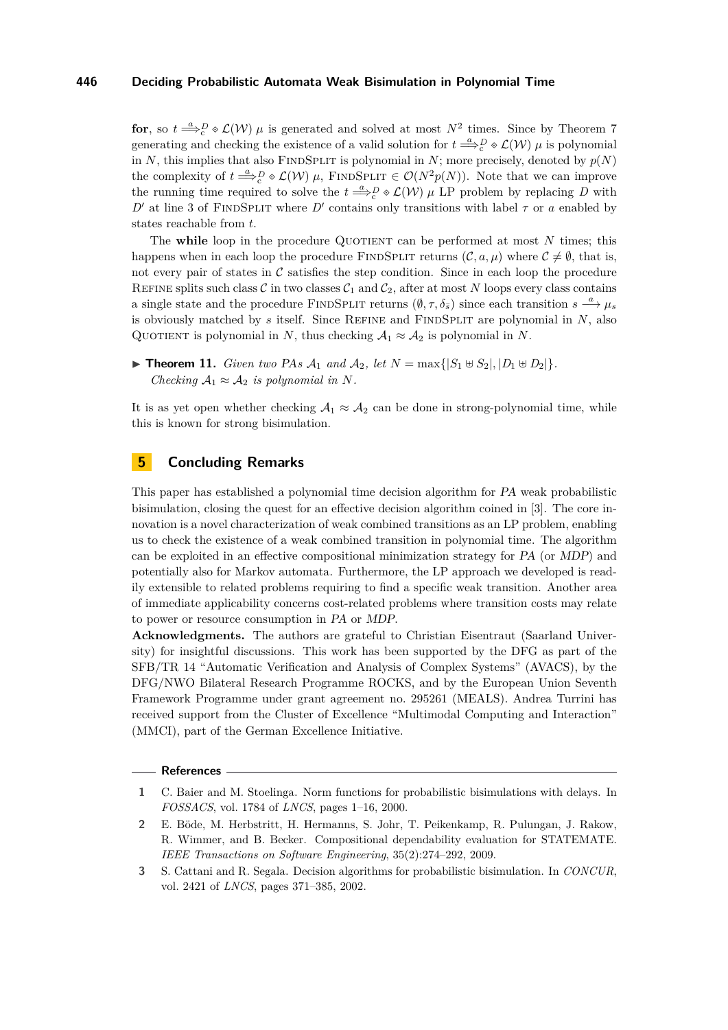**for**, so  $t \stackrel{a}{\Longrightarrow}_c^D \circ \mathcal{L}(\mathcal{W})$   $\mu$  is generated and solved at most  $N^2$  times. Since by Theorem [7](#page-8-2) generating and checking the existence of a valid solution for  $t \stackrel{a}{\Longrightarrow} \rho$   $\phi$   $\mathcal{L}(\mathcal{W})$   $\mu$  is polynomial in *N*, this implies that also FINDSPLIT is polynomial in *N*; more precisely, denoted by  $p(N)$ the complexity of  $t \stackrel{a}{\Longrightarrow}_c^D \circ \mathcal{L}(\mathcal{W})$   $\mu$ , FINDSPLIT  $\in \mathcal{O}(N^2p(N))$ . Note that we can improve the running time required to solve the  $t \stackrel{a}{\Longrightarrow}_c^D \otimes \mathcal{L}(\mathcal{W})$   $\mu$  LP problem by replacing *D* with *D*<sup> $\prime$ </sup> at line 3 of FINDSPLIT where *D*<sup> $\prime$ </sup> contains only transitions with label *τ* or *a* enabled by states reachable from *t*.

The while loop in the procedure QUOTIENT can be performed at most  $N$  times; this happens when in each loop the procedure FINDSPLIT returns  $(C, a, \mu)$  where  $C \neq \emptyset$ , that is, not every pair of states in  $\mathcal C$  satisfies the step condition. Since in each loop the procedure REFINE splits such class C in two classes  $C_1$  and  $C_2$ , after at most N loops every class contains a single state and the procedure FINDSPLIT returns  $(\emptyset, \tau, \delta_{\bar{s}})$  since each transition  $s \stackrel{a}{\longrightarrow} \mu_s$ is obviously matched by  $s$  itself. Since REFINE and FINDSPLIT are polynomial in  $N$ , also QUOTIENT is polynomial in *N*, thus checking  $A_1 \approx A_2$  is polynomial in *N*.

▶ **Theorem 11.** *Given two PAs*  $A_1$  *and*  $A_2$ *, let*  $N = \max\{|S_1 \oplus S_2|, |D_1 \oplus D_2|\}.$ *Checking*  $A_1 \approx A_2$  *is polynomial in N.* 

It is as yet open whether checking  $A_1 \approx A_2$  can be done in strong-polynomial time, while this is known for strong bisimulation.

# <span id="page-11-3"></span>**5 Concluding Remarks**

This paper has established a polynomial time decision algorithm for PA weak probabilistic bisimulation, closing the quest for an effective decision algorithm coined in [\[3\]](#page-11-0). The core innovation is a novel characterization of weak combined transitions as an LP problem, enabling us to check the existence of a weak combined transition in polynomial time. The algorithm can be exploited in an effective compositional minimization strategy for PA (or MDP) and potentially also for Markov automata. Furthermore, the LP approach we developed is readily extensible to related problems requiring to find a specific weak transition. Another area of immediate applicability concerns cost-related problems where transition costs may relate to power or resource consumption in PA or MDP.

**Acknowledgments.** The authors are grateful to Christian Eisentraut (Saarland University) for insightful discussions. This work has been supported by the DFG as part of the SFB/TR 14 "Automatic Verification and Analysis of Complex Systems" (AVACS), by the DFG/NWO Bilateral Research Programme ROCKS, and by the European Union Seventh Framework Programme under grant agreement no. 295261 (MEALS). Andrea Turrini has received support from the Cluster of Excellence "Multimodal Computing and Interaction" (MMCI), part of the German Excellence Initiative.

#### **References**

<span id="page-11-1"></span>**<sup>1</sup>** C. Baier and M. Stoelinga. Norm functions for probabilistic bisimulations with delays. In *FOSSACS*, vol. 1784 of *LNCS*, pages 1–16, 2000.

<span id="page-11-2"></span>**<sup>2</sup>** E. Böde, M. Herbstritt, H. Hermanns, S. Johr, T. Peikenkamp, R. Pulungan, J. Rakow, R. Wimmer, and B. Becker. Compositional dependability evaluation for STATEMATE. *IEEE Transactions on Software Engineering*, 35(2):274–292, 2009.

<span id="page-11-0"></span>**<sup>3</sup>** S. Cattani and R. Segala. Decision algorithms for probabilistic bisimulation. In *CONCUR*, vol. 2421 of *LNCS*, pages 371–385, 2002.